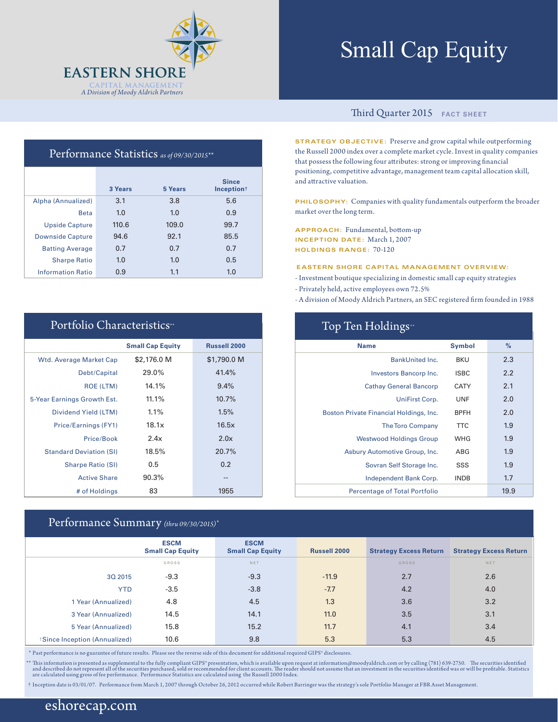

# Small Cap Equity

### Performance Statistics *as of 09/30/2015\*\**

|                          | 3 Years | 5 Years | <b>Since</b><br>Inception <sup>+</sup> |
|--------------------------|---------|---------|----------------------------------------|
| Alpha (Annualized)       | 3.1     | 3.8     | 5.6                                    |
| <b>Beta</b>              | 1.0     | 1.0     | 0.9                                    |
| <b>Upside Capture</b>    | 110.6   | 109.0   | 99.7                                   |
| <b>Downside Capture</b>  | 94.6    | 92.1    | 85.5                                   |
| <b>Batting Average</b>   | 0.7     | 0.7     | 0.7                                    |
| <b>Sharpe Ratio</b>      | 1.0     | 1.0     | 0.5                                    |
| <b>Information Ratio</b> | 0.9     | 1.1     | 1.0                                    |

| Portfolio Characteristics <sup>**</sup> |                         |                     |  |  |  |  |
|-----------------------------------------|-------------------------|---------------------|--|--|--|--|
|                                         | <b>Small Cap Equity</b> | <b>Russell 2000</b> |  |  |  |  |
| Wtd. Average Market Cap                 | \$2,176.0 M             | \$1,790.0 M         |  |  |  |  |
| Debt/Capital                            | 29.0%                   | 41.4%               |  |  |  |  |
| <b>ROE (LTM)</b>                        | 14.1%                   | 9.4%                |  |  |  |  |
| 5-Year Earnings Growth Est.             | 11.1%                   | 10.7%               |  |  |  |  |
| Dividend Yield (LTM)                    | 1.1%                    | 1.5%                |  |  |  |  |
| Price/Earnings (FY1)                    | 18.1x                   | 16.5x               |  |  |  |  |
| Price/Book                              | 2.4x                    | 2.0x                |  |  |  |  |
| <b>Standard Deviation (SI)</b>          | 18.5%                   | 20.7%               |  |  |  |  |
| <b>Sharpe Ratio (SI)</b>                | 0.5                     | 0.2                 |  |  |  |  |
| <b>Active Share</b>                     | 90.3%                   | --                  |  |  |  |  |
| # of Holdings                           | 83                      | 1955                |  |  |  |  |

### Performance Summary *(thru 09/30/2015)\**

### Third Quarter 2015 **FACT SHEET**

**STRATEGY OBJECTIVE:** Preserve and grow capital while outperforming the Russell 2000 index over a complete market cycle. Invest in quality companies that possess the following four attributes: strong or improving financial positioning, competitive advantage, management team capital allocation skill, and attractive valuation.

**PHILOSOPHY:** Companies with quality fundamentals outperform the broader market over the long term.

**APPROACH:** Fundamental, bottom-up **INCEPTION DATE:** March 1, 2007 **HOLDINGS RANGE:** 70-120

### **EASTERN SHORE CAPITAL MANAGEMENT OVERVIEW:**

- Investment boutique specializing in domestic small cap equity strategies
- Privately held, active employees own 72.5%
- A division of Moody Aldrich Partners, an SEC registered firm founded in 1988

| Top Ten Holdings <sup>*</sup>           |               |      |  |  |  |  |
|-----------------------------------------|---------------|------|--|--|--|--|
| <b>Name</b>                             | <b>Symbol</b> | $\%$ |  |  |  |  |
| <b>BankUnited Inc.</b>                  | <b>BKU</b>    | 2.3  |  |  |  |  |
| Investors Bancorp Inc.                  | <b>ISBC</b>   | 2.2  |  |  |  |  |
| <b>Cathay General Bancorp</b>           | CATY          | 2.1  |  |  |  |  |
| UniFirst Corp.                          | <b>UNF</b>    | 2.0  |  |  |  |  |
| Boston Private Financial Holdings, Inc. | <b>BPFH</b>   | 2.0  |  |  |  |  |
| <b>The Toro Company</b>                 | <b>TTC</b>    | 1.9  |  |  |  |  |
| <b>Westwood Holdings Group</b>          | WHG           | 1.9  |  |  |  |  |
| Asbury Automotive Group, Inc.           | ABG           | 1.9  |  |  |  |  |
| Sovran Self Storage Inc.                | SSS           | 1.9  |  |  |  |  |
| Independent Bank Corp.                  | <b>INDB</b>   | 1.7  |  |  |  |  |
| <b>Percentage of Total Portfolio</b>    |               | 19.9 |  |  |  |  |

|                              | <b>ESCM</b><br><b>Small Cap Equity</b> | <b>ESCM</b><br><b>Small Cap Equity</b> | <b>Russell 2000</b> | <b>Strategy Excess Return</b> | <b>Strategy Excess Return</b> |
|------------------------------|----------------------------------------|----------------------------------------|---------------------|-------------------------------|-------------------------------|
|                              | GROSS                                  | <b>NET</b>                             |                     | <b>GROSS</b>                  | NET                           |
| 30 2015                      | $-9.3$                                 | $-9.3$                                 | $-11.9$             | 2.7                           | 2.6                           |
| <b>YTD</b>                   | $-3.5$                                 | $-3.8$                                 | $-7.7$              | 4.2                           | 4.0                           |
| 1 Year (Annualized)          | 4.8                                    | 4.5                                    | 1.3                 | 3.6                           | 3.2                           |
| 3 Year (Annualized)          | 14.5                                   | 14.1                                   | 11.0                | 3.5                           | 3.1                           |
| 5 Year (Annualized)          | 15.8                                   | 15.2                                   | 11.7                | 4.1                           | 3.4                           |
| Since Inception (Annualized) | 10.6                                   | 9.8                                    | 5.3                 | 5.3                           | 4.5                           |

\* Past performance is no guarantee of future results. Please see the reverse side of this document for additional required GIPS® disclosures.

\*\* This information is presented as supplemental to the fully compliant GIPS\* presentation, which is available upon request at information@moodyaldrich.com or by calling (781) 639-2750. The securities identified and descri

† Inception date is 03/01/07. Performance from March 1, 2007 through October 26, 2012 occurred while Robert Barringer was the strategy's sole Portfolio Manager at FBR Asset Management.